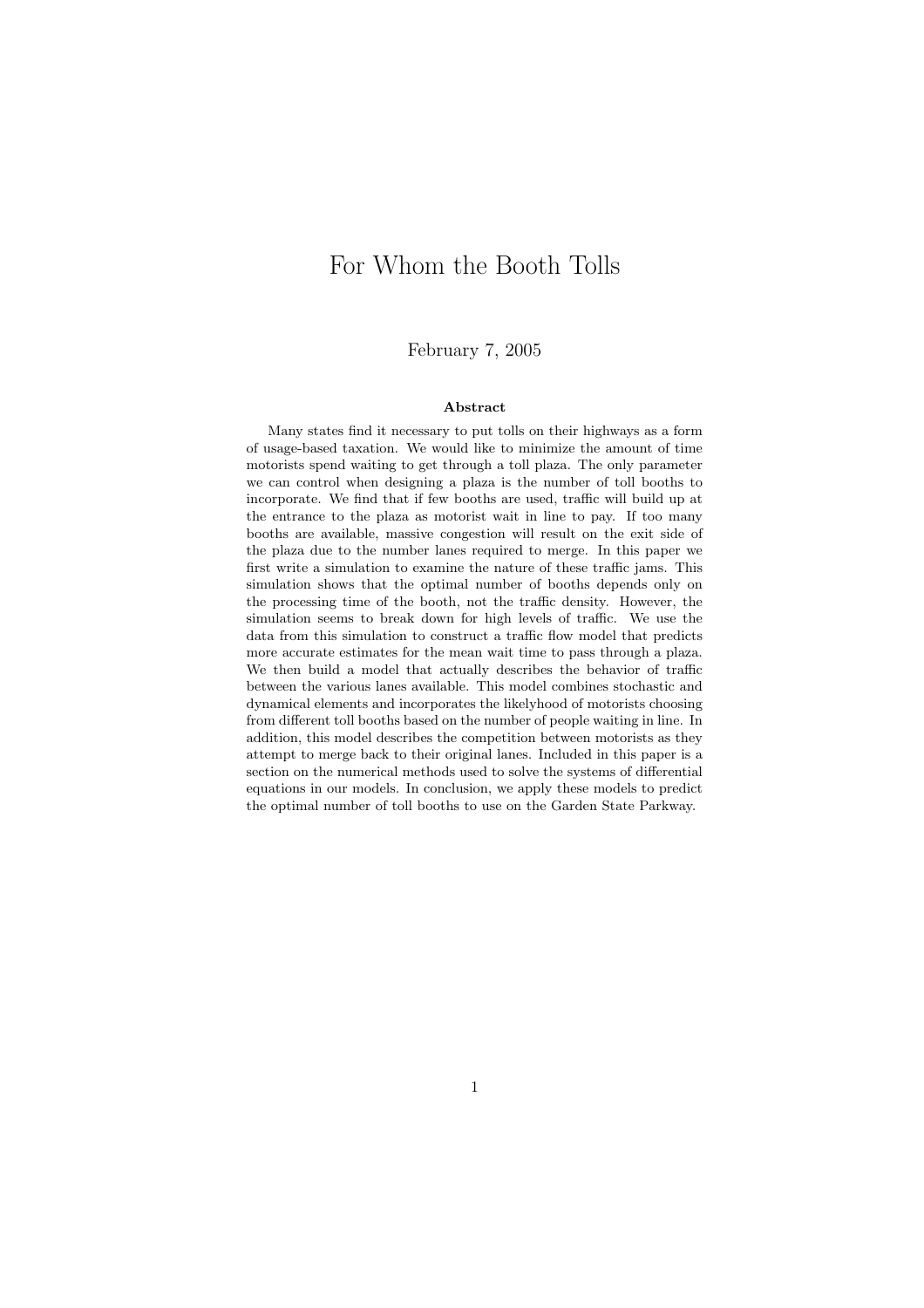# For Whom the Booth Tolls

### February 7, 2005

#### Abstract

Many states find it necessary to put tolls on their highways as a form of usage-based taxation. We would like to minimize the amount of time motorists spend waiting to get through a toll plaza. The only parameter we can control when designing a plaza is the number of toll booths to incorporate. We find that if few booths are used, traffic will build up at the entrance to the plaza as motorist wait in line to pay. If too many booths are available, massive congestion will result on the exit side of the plaza due to the number lanes required to merge. In this paper we first write a simulation to examine the nature of these traffic jams. This simulation shows that the optimal number of booths depends only on the processing time of the booth, not the traffic density. However, the simulation seems to break down for high levels of traffic. We use the data from this simulation to construct a traffic flow model that predicts more accurate estimates for the mean wait time to pass through a plaza. We then build a model that actually describes the behavior of traffic between the various lanes available. This model combines stochastic and dynamical elements and incorporates the likelyhood of motorists choosing from different toll booths based on the number of people waiting in line. In addition, this model describes the competition between motorists as they attempt to merge back to their original lanes. Included in this paper is a section on the numerical methods used to solve the systems of differential equations in our models. In conclusion, we apply these models to predict the optimal number of toll booths to use on the Garden State Parkway.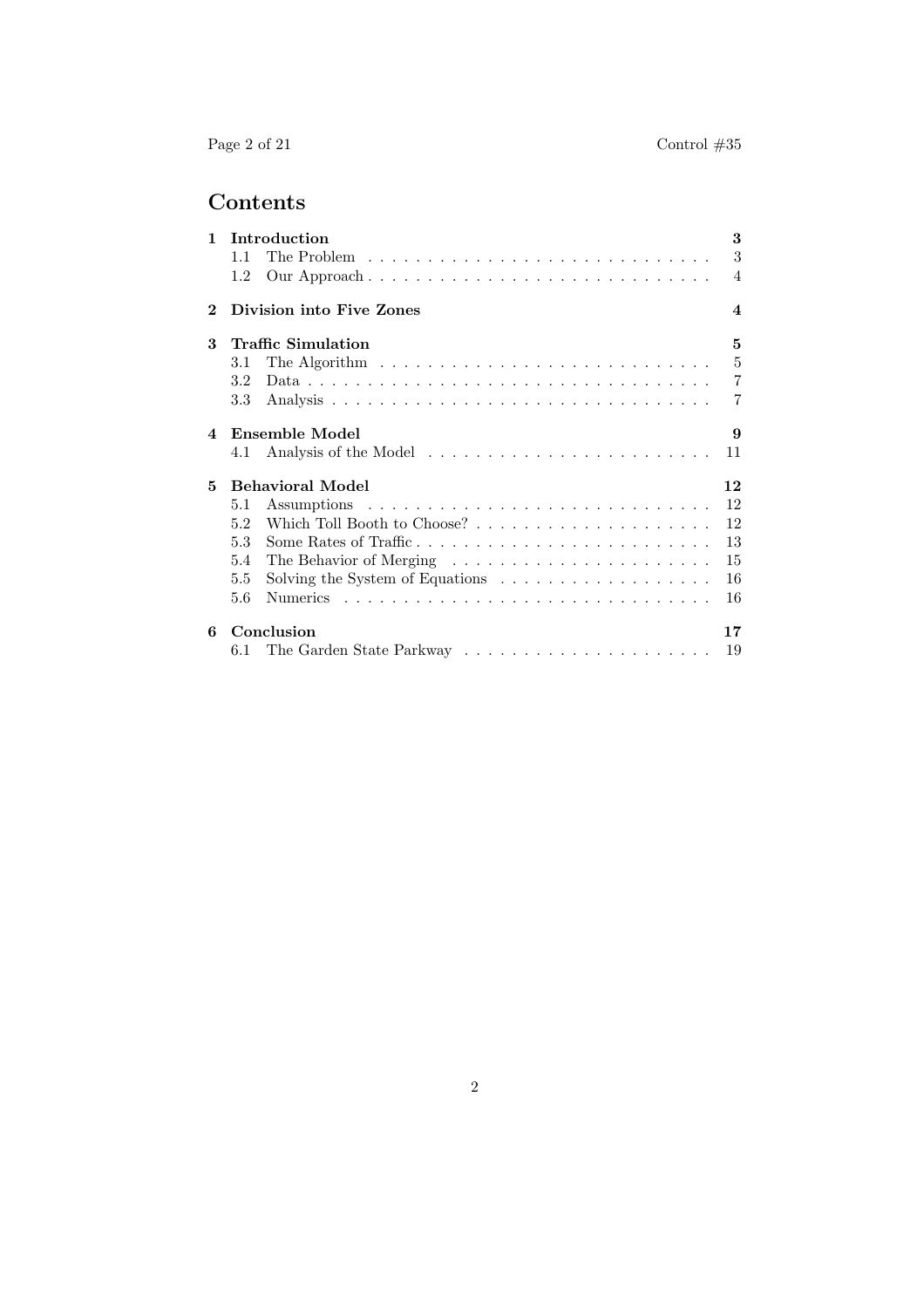# Contents

| $\mathbf{1}$                 |     | Introduction                                                          | 3                      |
|------------------------------|-----|-----------------------------------------------------------------------|------------------------|
|                              | 1.1 |                                                                       | 3                      |
|                              | 1.2 | Our Approach                                                          | $\overline{4}$         |
| $\bf{2}^-$                   |     | Division into Five Zones                                              | $\boldsymbol{\Lambda}$ |
| 3                            |     | <b>Traffic Simulation</b>                                             | 5                      |
|                              | 3.1 |                                                                       | $\overline{5}$         |
|                              | 3.2 |                                                                       | $\overline{7}$         |
|                              | 3.3 |                                                                       | $\overline{7}$         |
| 4                            |     | Ensemble Model                                                        | 9                      |
|                              | 4.1 |                                                                       | 11                     |
| <b>Behavioral Model</b><br>5 |     |                                                                       | 12                     |
|                              | 5.1 |                                                                       | 12                     |
|                              | 5.2 |                                                                       | 12                     |
|                              | 5.3 |                                                                       | 13                     |
|                              | 5.4 |                                                                       | 15                     |
|                              | 5.5 | Solving the System of Equations $\dots \dots \dots \dots \dots \dots$ | 16                     |
|                              | 5.6 |                                                                       | 16                     |
| 6                            |     | Conclusion                                                            | 17                     |
|                              |     |                                                                       | 19                     |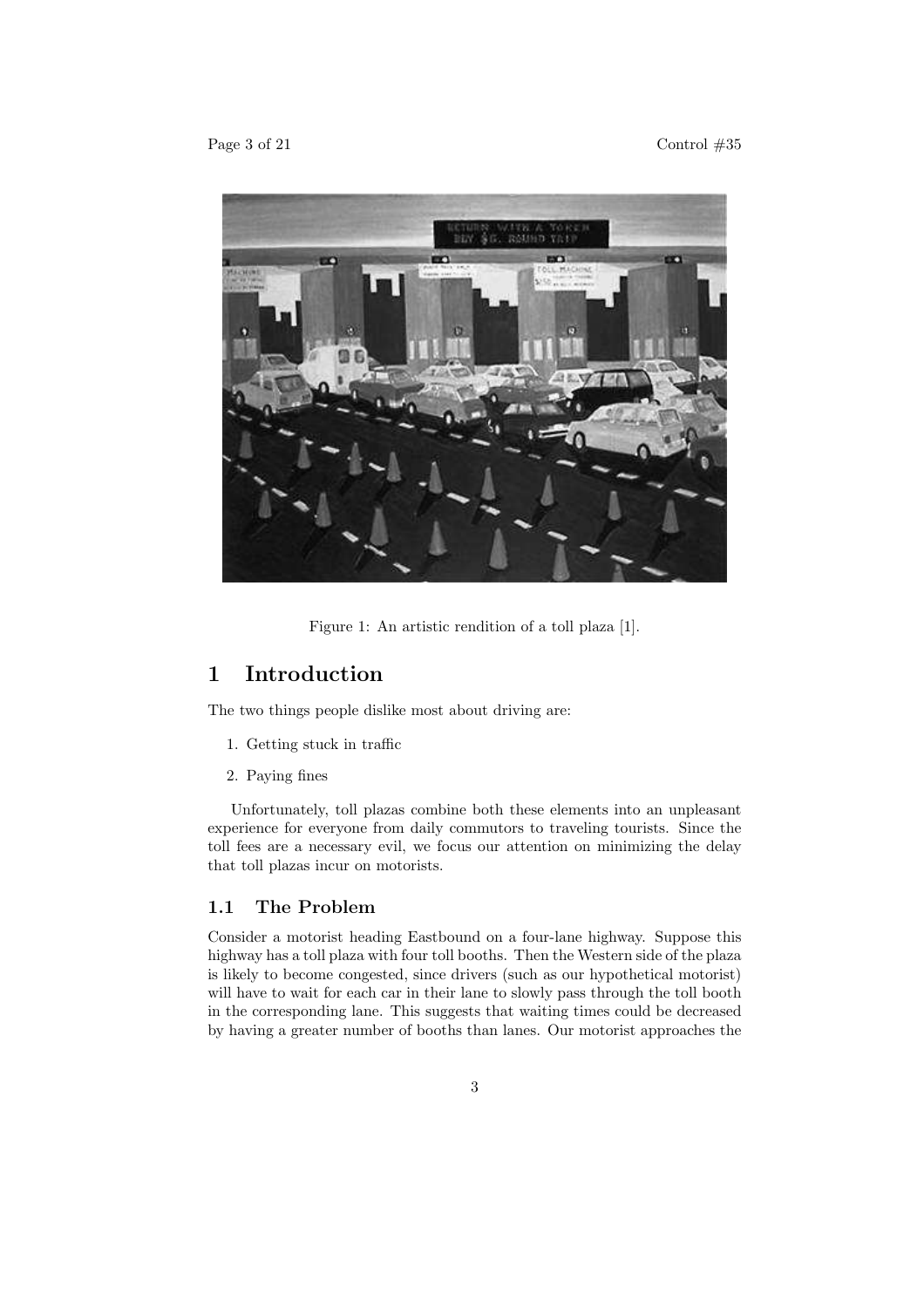

Figure 1: An artistic rendition of a toll plaza [1].

# 1 Introduction

The two things people dislike most about driving are:

- 1. Getting stuck in traffic
- 2. Paying fines

Unfortunately, toll plazas combine both these elements into an unpleasant experience for everyone from daily commutors to traveling tourists. Since the toll fees are a necessary evil, we focus our attention on minimizing the delay that toll plazas incur on motorists.

## 1.1 The Problem

Consider a motorist heading Eastbound on a four-lane highway. Suppose this highway has a toll plaza with four toll booths. Then the Western side of the plaza is likely to become congested, since drivers (such as our hypothetical motorist) will have to wait for each car in their lane to slowly pass through the toll booth in the corresponding lane. This suggests that waiting times could be decreased by having a greater number of booths than lanes. Our motorist approaches the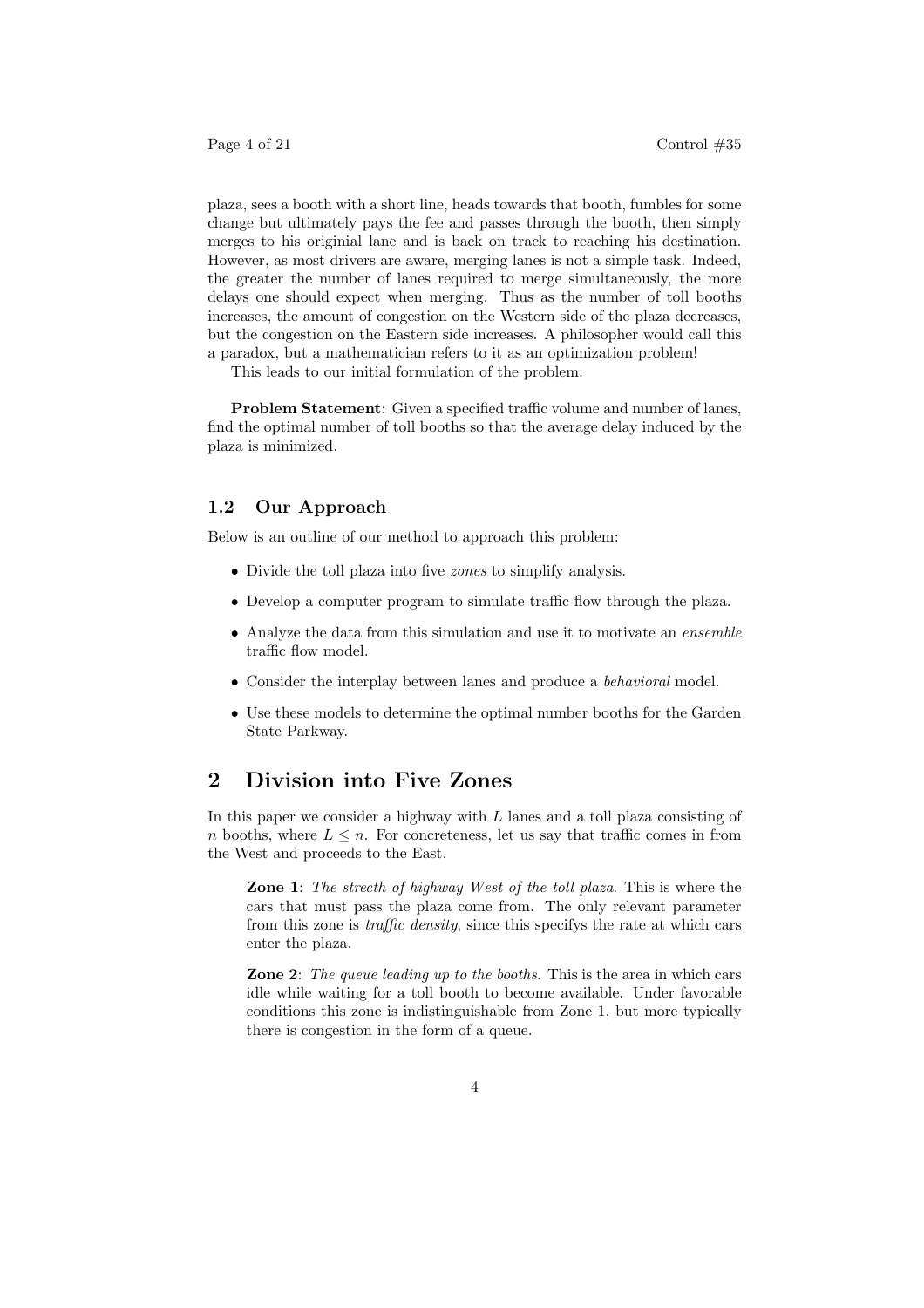plaza, sees a booth with a short line, heads towards that booth, fumbles for some change but ultimately pays the fee and passes through the booth, then simply merges to his originial lane and is back on track to reaching his destination. However, as most drivers are aware, merging lanes is not a simple task. Indeed, the greater the number of lanes required to merge simultaneously, the more delays one should expect when merging. Thus as the number of toll booths increases, the amount of congestion on the Western side of the plaza decreases, but the congestion on the Eastern side increases. A philosopher would call this a paradox, but a mathematician refers to it as an optimization problem!

This leads to our initial formulation of the problem:

Problem Statement: Given a specified traffic volume and number of lanes, find the optimal number of toll booths so that the average delay induced by the plaza is minimized.

## 1.2 Our Approach

Below is an outline of our method to approach this problem:

- Divide the toll plaza into five *zones* to simplify analysis.
- Develop a computer program to simulate traffic flow through the plaza.
- Analyze the data from this simulation and use it to motivate an ensemble traffic flow model.
- Consider the interplay between lanes and produce a behavioral model.
- Use these models to determine the optimal number booths for the Garden State Parkway.

# 2 Division into Five Zones

In this paper we consider a highway with  $L$  lanes and a toll plaza consisting of n booths, where  $L \leq n$ . For concreteness, let us say that traffic comes in from the West and proceeds to the East.

**Zone 1:** The strecth of highway West of the toll plaza. This is where the cars that must pass the plaza come from. The only relevant parameter from this zone is traffic density, since this specifys the rate at which cars enter the plaza.

**Zone 2:** The queue leading up to the booths. This is the area in which cars idle while waiting for a toll booth to become available. Under favorable conditions this zone is indistinguishable from Zone 1, but more typically there is congestion in the form of a queue.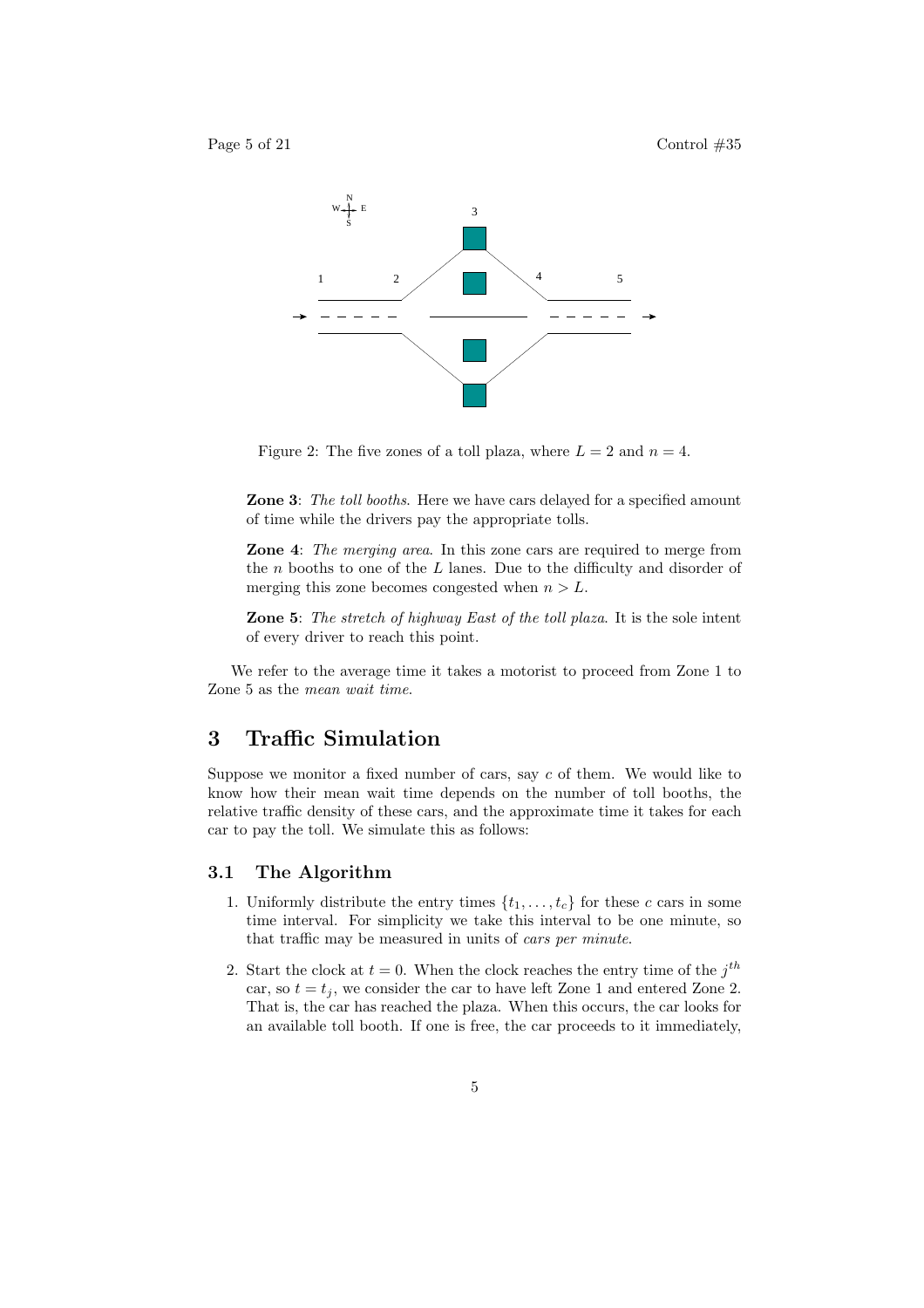

Figure 2: The five zones of a toll plaza, where  $L = 2$  and  $n = 4$ .

Zone 3: The toll booths. Here we have cars delayed for a specified amount of time while the drivers pay the appropriate tolls.

Zone 4: The merging area. In this zone cars are required to merge from the  $n$  booths to one of the  $L$  lanes. Due to the difficulty and disorder of merging this zone becomes congested when  $n > L$ .

**Zone 5:** The stretch of highway East of the toll plaza. It is the sole intent of every driver to reach this point.

We refer to the average time it takes a motorist to proceed from Zone 1 to Zone 5 as the mean wait time.

# 3 Traffic Simulation

Suppose we monitor a fixed number of cars, say  $c$  of them. We would like to know how their mean wait time depends on the number of toll booths, the relative traffic density of these cars, and the approximate time it takes for each car to pay the toll. We simulate this as follows:

### 3.1 The Algorithm

- 1. Uniformly distribute the entry times  $\{t_1, \ldots, t_c\}$  for these c cars in some time interval. For simplicity we take this interval to be one minute, so that traffic may be measured in units of cars per minute.
- 2. Start the clock at  $t = 0$ . When the clock reaches the entry time of the  $j<sup>th</sup>$ car, so  $t = t_i$ , we consider the car to have left Zone 1 and entered Zone 2. That is, the car has reached the plaza. When this occurs, the car looks for an available toll booth. If one is free, the car proceeds to it immediately,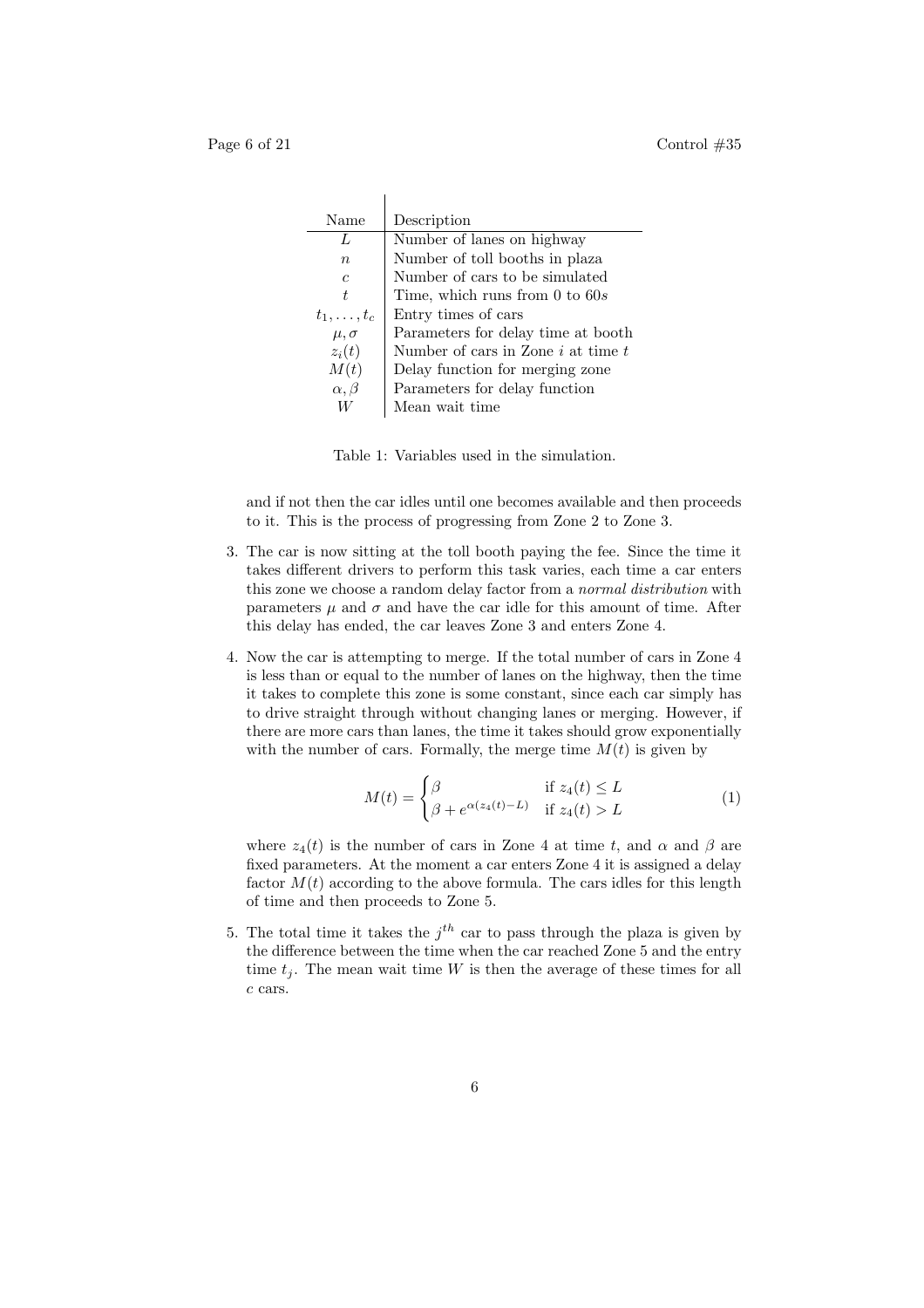| Name             | Description                            |
|------------------|----------------------------------------|
| L                | Number of lanes on highway             |
| $\boldsymbol{n}$ | Number of toll booths in plaza         |
| $\epsilon$       | Number of cars to be simulated         |
| t.               | Time, which runs from 0 to $60s$       |
| $t_1,\ldots,t_c$ | Entry times of cars                    |
| $\mu, \sigma$    | Parameters for delay time at booth     |
| $z_i(t)$         | Number of cars in Zone $i$ at time $t$ |
| M(t)             | Delay function for merging zone        |
| $\alpha, \beta$  | Parameters for delay function          |
|                  | Mean wait time                         |

 $\overline{1}$ 

Table 1: Variables used in the simulation.

and if not then the car idles until one becomes available and then proceeds to it. This is the process of progressing from Zone 2 to Zone 3.

- 3. The car is now sitting at the toll booth paying the fee. Since the time it takes different drivers to perform this task varies, each time a car enters this zone we choose a random delay factor from a normal distribution with parameters  $\mu$  and  $\sigma$  and have the car idle for this amount of time. After this delay has ended, the car leaves Zone 3 and enters Zone 4.
- 4. Now the car is attempting to merge. If the total number of cars in Zone 4 is less than or equal to the number of lanes on the highway, then the time it takes to complete this zone is some constant, since each car simply has to drive straight through without changing lanes or merging. However, if there are more cars than lanes, the time it takes should grow exponentially with the number of cars. Formally, the merge time  $M(t)$  is given by

$$
M(t) = \begin{cases} \beta & \text{if } z_4(t) \le L \\ \beta + e^{\alpha(z_4(t) - L)} & \text{if } z_4(t) > L \end{cases}
$$
 (1)

where  $z_4(t)$  is the number of cars in Zone 4 at time t, and  $\alpha$  and  $\beta$  are fixed parameters. At the moment a car enters Zone 4 it is assigned a delay factor  $M(t)$  according to the above formula. The cars idles for this length of time and then proceeds to Zone 5.

5. The total time it takes the  $j<sup>th</sup>$  car to pass through the plaza is given by the difference between the time when the car reached Zone 5 and the entry time  $t_i$ . The mean wait time W is then the average of these times for all c cars.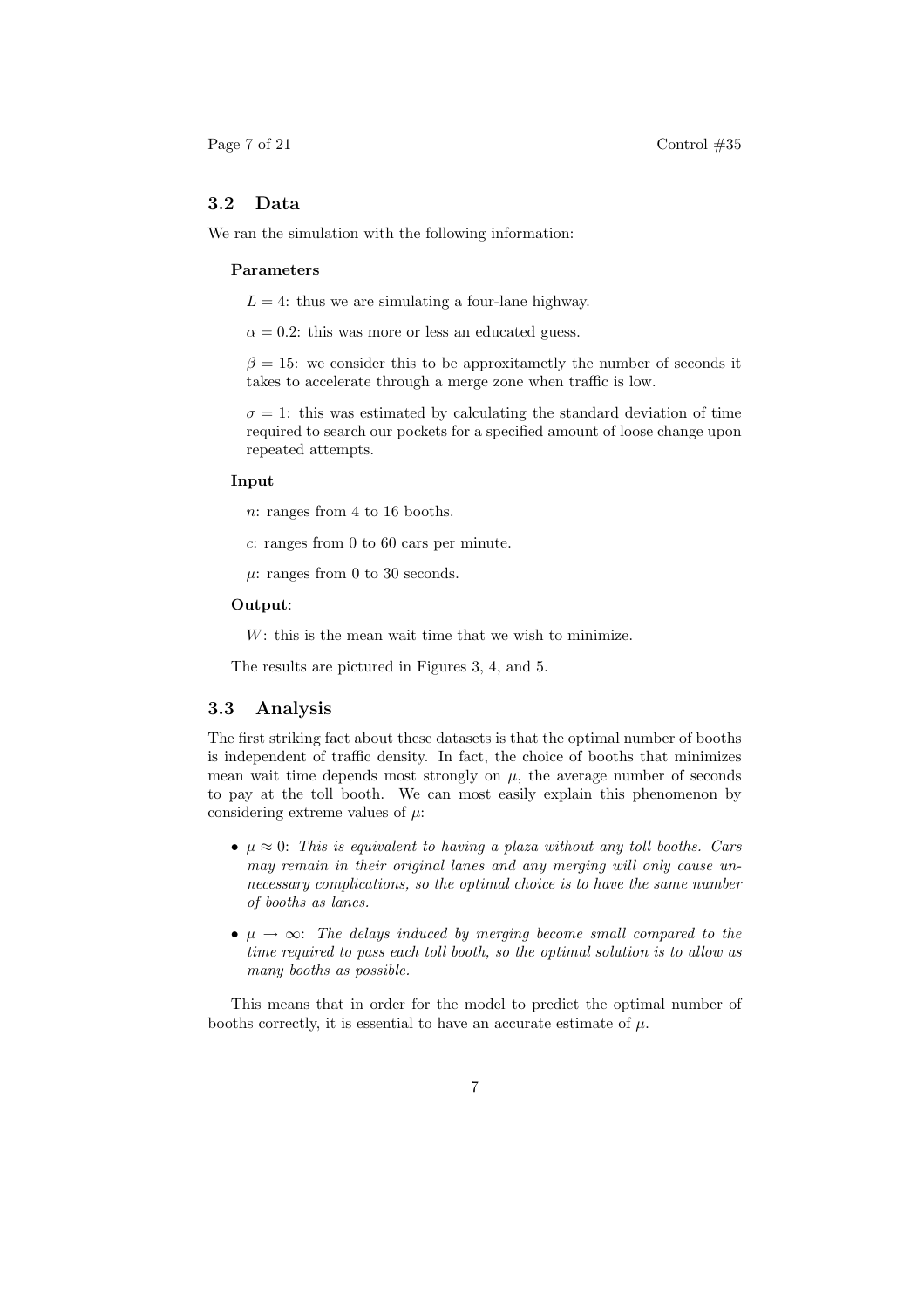### 3.2 Data

We ran the simulation with the following information:

#### Parameters

 $L = 4$ : thus we are simulating a four-lane highway.

 $\alpha = 0.2$ : this was more or less an educated guess.

 $\beta = 15$ : we consider this to be approxitametly the number of seconds it takes to accelerate through a merge zone when traffic is low.

 $\sigma = 1$ : this was estimated by calculating the standard deviation of time required to search our pockets for a specified amount of loose change upon repeated attempts.

#### Input

n: ranges from 4 to 16 booths.

c: ranges from 0 to 60 cars per minute.

 $\mu$ : ranges from 0 to 30 seconds.

#### Output:

W: this is the mean wait time that we wish to minimize.

The results are pictured in Figures 3, 4, and 5.

#### 3.3 Analysis

The first striking fact about these datasets is that the optimal number of booths is independent of traffic density. In fact, the choice of booths that minimizes mean wait time depends most strongly on  $\mu$ , the average number of seconds to pay at the toll booth. We can most easily explain this phenomenon by considering extreme values of  $\mu$ :

- $\mu \approx 0$ : This is equivalent to having a plaza without any toll booths. Cars may remain in their original lanes and any merging will only cause unnecessary complications, so the optimal choice is to have the same number of booths as lanes.
- $\mu \rightarrow \infty$ : The delays induced by merging become small compared to the time required to pass each toll booth, so the optimal solution is to allow as many booths as possible.

This means that in order for the model to predict the optimal number of booths correctly, it is essential to have an accurate estimate of  $\mu$ .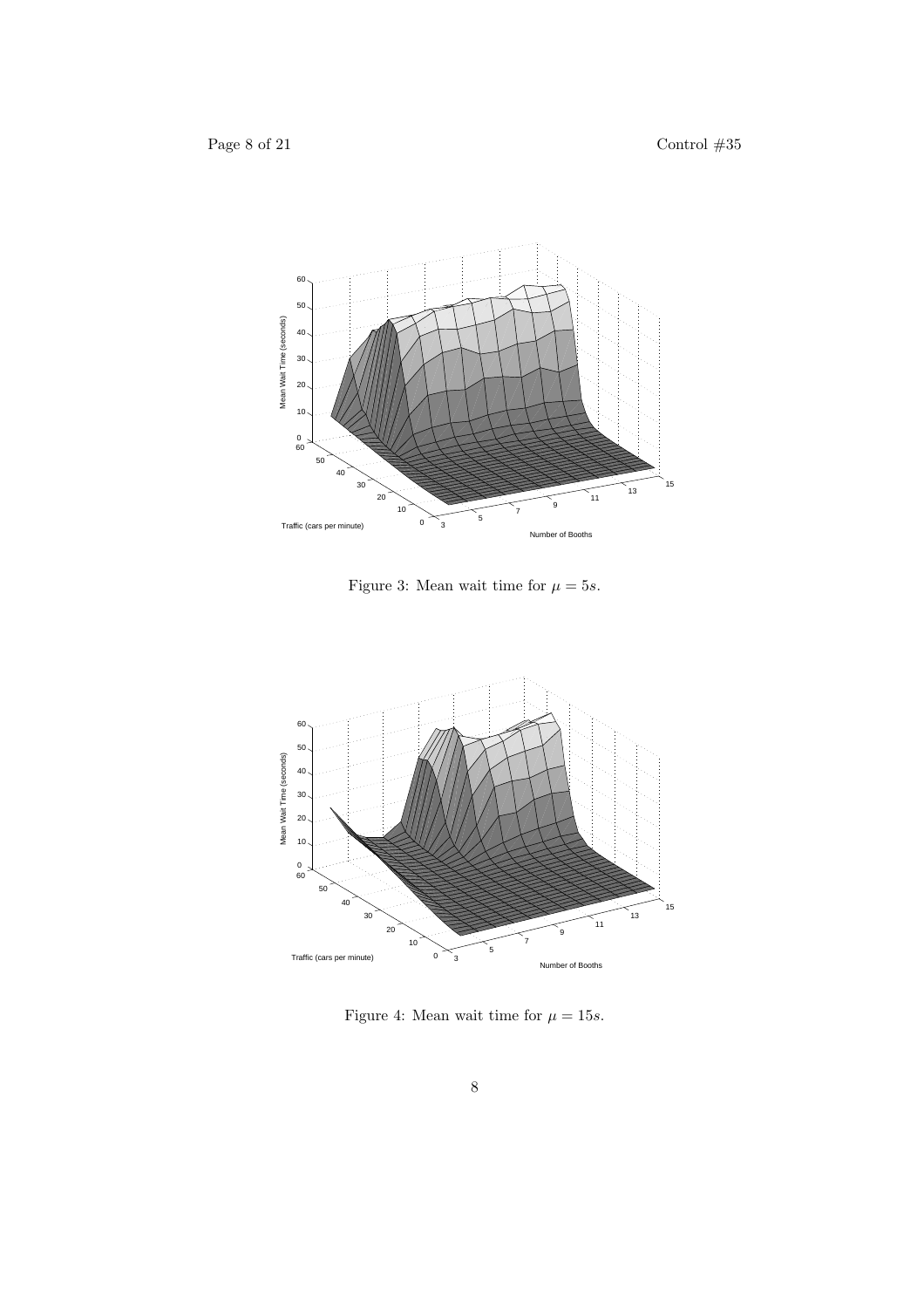

Figure 3: Mean wait time for  $\mu = 5s$ .



Figure 4: Mean wait time for  $\mu = 15s$ .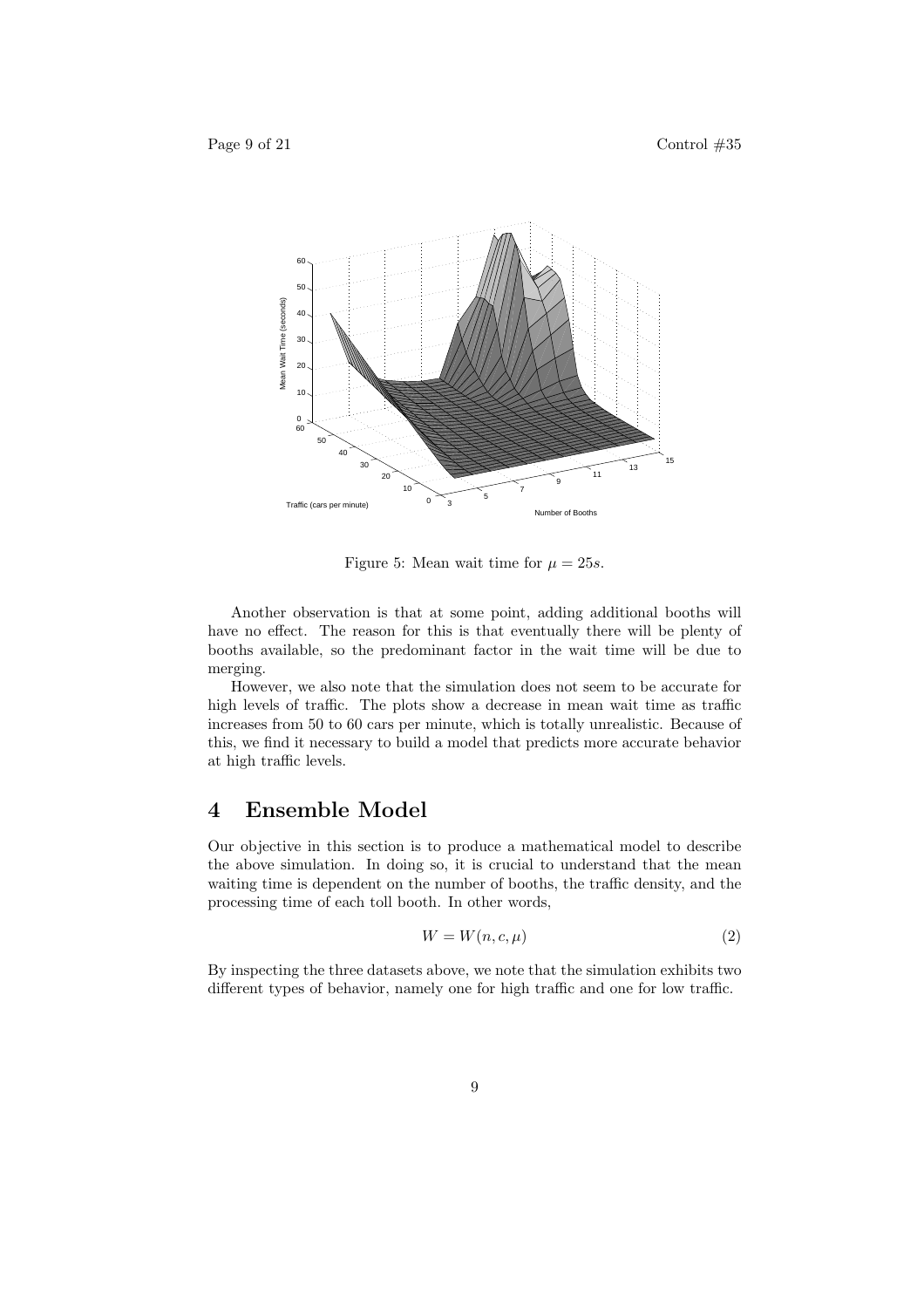

Figure 5: Mean wait time for  $\mu = 25s$ .

Another observation is that at some point, adding additional booths will have no effect. The reason for this is that eventually there will be plenty of booths available, so the predominant factor in the wait time will be due to merging.

However, we also note that the simulation does not seem to be accurate for high levels of traffic. The plots show a decrease in mean wait time as traffic increases from 50 to 60 cars per minute, which is totally unrealistic. Because of this, we find it necessary to build a model that predicts more accurate behavior at high traffic levels.

# 4 Ensemble Model

Our objective in this section is to produce a mathematical model to describe the above simulation. In doing so, it is crucial to understand that the mean waiting time is dependent on the number of booths, the traffic density, and the processing time of each toll booth. In other words,

$$
W = W(n, c, \mu) \tag{2}
$$

By inspecting the three datasets above, we note that the simulation exhibits two different types of behavior, namely one for high traffic and one for low traffic.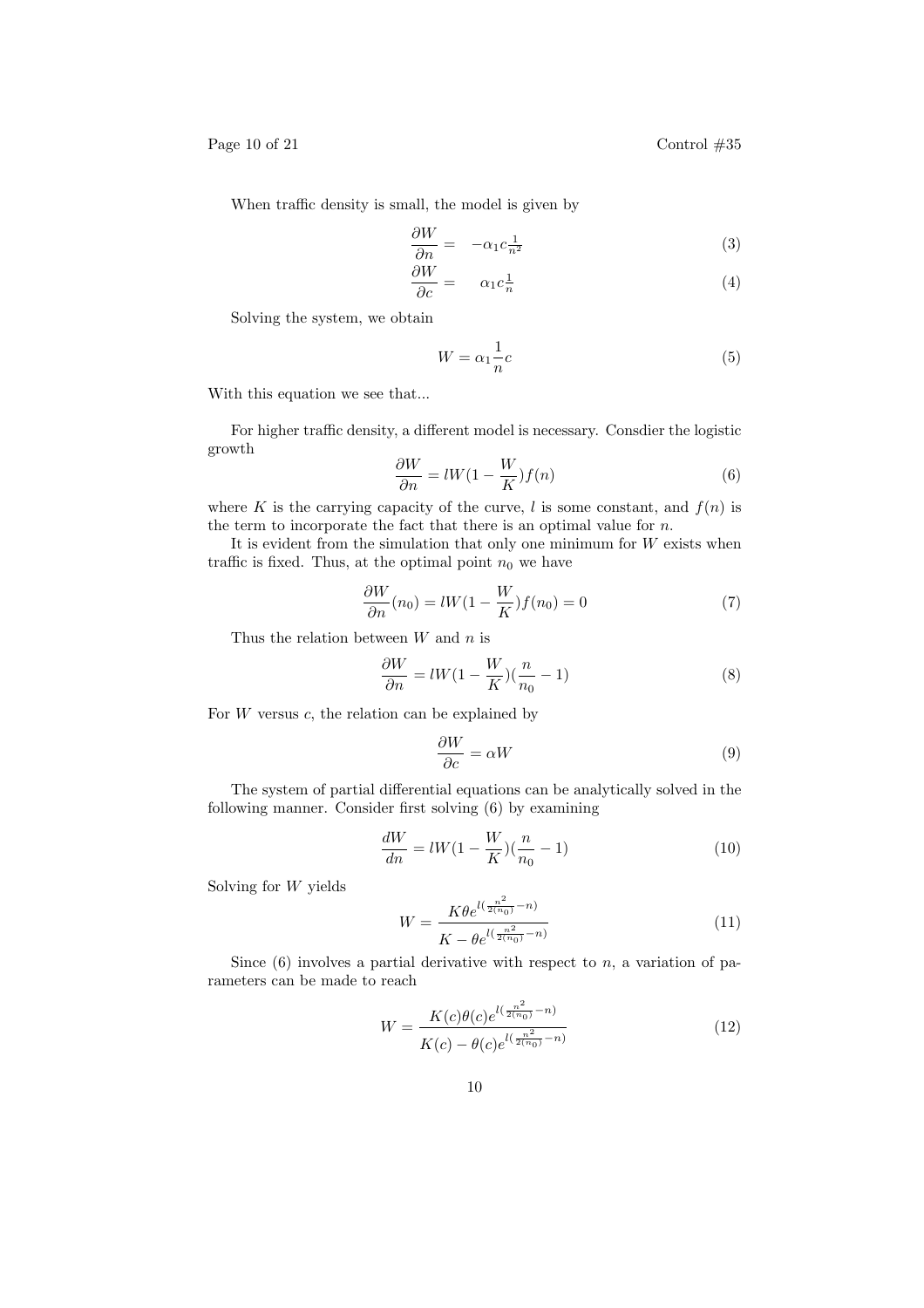Page 10 of 21 Control  $\#35$ 

When traffic density is small, the model is given by

$$
\frac{\partial W}{\partial n} = -\alpha_1 c_{n^2}^{\ 1} \tag{3}
$$

$$
\frac{\partial W}{\partial c} = \alpha_1 c_n^1 \tag{4}
$$

Solving the system, we obtain

$$
W = \alpha_1 \frac{1}{n}c \tag{5}
$$

With this equation we see that...

For higher traffic density, a different model is necessary. Consdier the logistic growth

$$
\frac{\partial W}{\partial n} = lW(1 - \frac{W}{K})f(n) \tag{6}
$$

where K is the carrying capacity of the curve, l is some constant, and  $f(n)$  is the term to incorporate the fact that there is an optimal value for  $n$ .

It is evident from the simulation that only one minimum for  $W$  exists when traffic is fixed. Thus, at the optimal point  $n_0$  we have

$$
\frac{\partial W}{\partial n}(n_0) = lW(1 - \frac{W}{K})f(n_0) = 0\tag{7}
$$

Thus the relation between  $W$  and  $n$  is

$$
\frac{\partial W}{\partial n} = lW(1 - \frac{W}{K})(\frac{n}{n_0} - 1)
$$
\n(8)

For  $W$  versus  $c$ , the relation can be explained by

$$
\frac{\partial W}{\partial c} = \alpha W\tag{9}
$$

The system of partial differential equations can be analytically solved in the following manner. Consider first solving (6) by examining

$$
\frac{dW}{dn} = lW(1 - \frac{W}{K})(\frac{n}{n_0} - 1)
$$
\n(10)

Solving for W yields

$$
W = \frac{K\theta e^{l(\frac{n^2}{2(n_0)} - n)}}{K - \theta e^{l(\frac{n^2}{2(n_0)} - n)}}
$$
(11)

Since  $(6)$  involves a partial derivative with respect to n, a variation of parameters can be made to reach

$$
W = \frac{K(c)\theta(c)e^{l(\frac{n^2}{2(n_0)} - n)}}{K(c) - \theta(c)e^{l(\frac{n^2}{2(n_0)} - n)}}
$$
(12)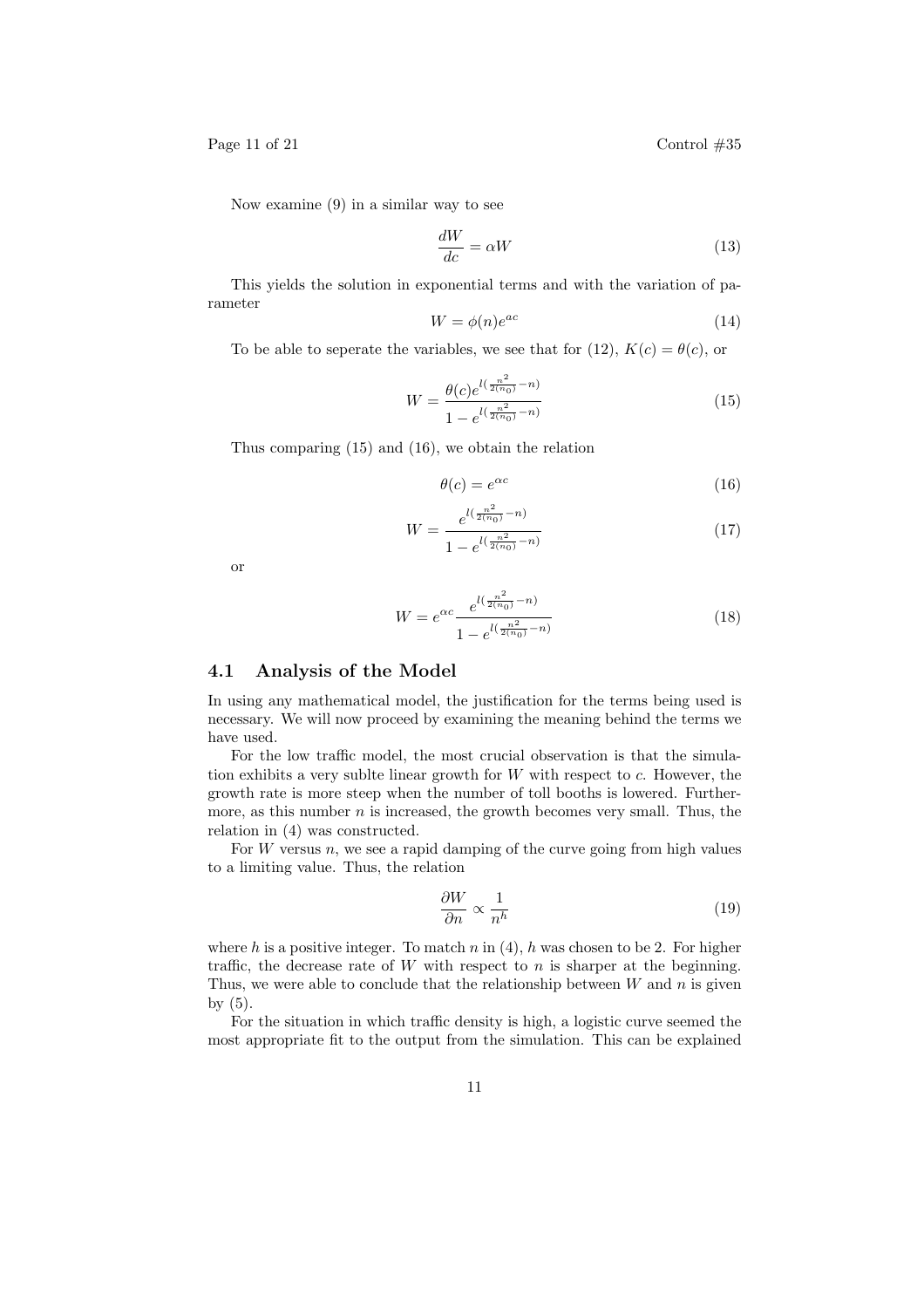Page 11 of 21 Control  $\#35$ 

Now examine (9) in a similar way to see

$$
\frac{dW}{dc} = \alpha W\tag{13}
$$

This yields the solution in exponential terms and with the variation of parameter

$$
W = \phi(n)e^{ac} \tag{14}
$$

To be able to seperate the variables, we see that for (12),  $K(c) = \theta(c)$ , or

$$
W = \frac{\theta(c)e^{l(\frac{n^2}{2(n_0)} - n)}}{1 - e^{l(\frac{n^2}{2(n_0)} - n)}}\tag{15}
$$

Thus comparing (15) and (16), we obtain the relation

$$
\theta(c) = e^{\alpha c} \tag{16}
$$

$$
W = \frac{e^{l(\frac{n^2}{2(n_0)} - n)}}{1 - e^{l(\frac{n^2}{2(n_0)} - n)}}\tag{17}
$$

or

$$
W = e^{\alpha c} \frac{e^{l(\frac{n^2}{2(n_0)} - n)}}{1 - e^{l(\frac{n^2}{2(n_0)} - n)}}
$$
(18)

#### 4.1 Analysis of the Model

In using any mathematical model, the justification for the terms being used is necessary. We will now proceed by examining the meaning behind the terms we have used.

For the low traffic model, the most crucial observation is that the simulation exhibits a very sublte linear growth for  $W$  with respect to  $c$ . However, the growth rate is more steep when the number of toll booths is lowered. Furthermore, as this number  $n$  is increased, the growth becomes very small. Thus, the relation in (4) was constructed.

For  $W$  versus  $n$ , we see a rapid damping of the curve going from high values to a limiting value. Thus, the relation

$$
\frac{\partial W}{\partial n} \propto \frac{1}{n^h} \tag{19}
$$

where h is a positive integer. To match  $n$  in (4), h was chosen to be 2. For higher traffic, the decrease rate of  $W$  with respect to  $n$  is sharper at the beginning. Thus, we were able to conclude that the relationship between  $W$  and  $n$  is given by (5).

For the situation in which traffic density is high, a logistic curve seemed the most appropriate fit to the output from the simulation. This can be explained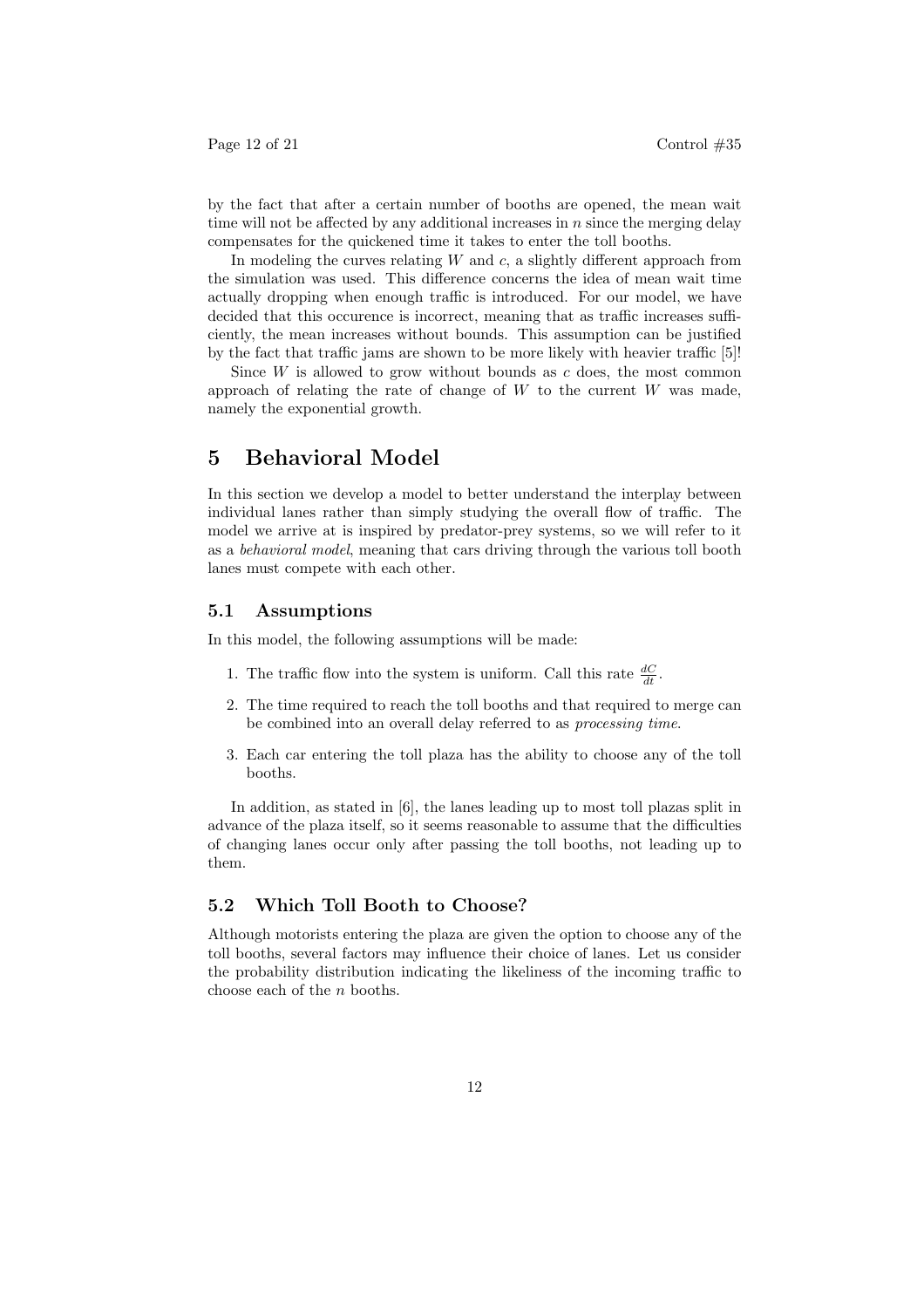by the fact that after a certain number of booths are opened, the mean wait time will not be affected by any additional increases in  $n$  since the merging delay compensates for the quickened time it takes to enter the toll booths.

In modeling the curves relating  $W$  and  $c$ , a slightly different approach from the simulation was used. This difference concerns the idea of mean wait time actually dropping when enough traffic is introduced. For our model, we have decided that this occurence is incorrect, meaning that as traffic increases sufficiently, the mean increases without bounds. This assumption can be justified by the fact that traffic jams are shown to be more likely with heavier traffic [5]!

Since  $W$  is allowed to grow without bounds as  $c$  does, the most common approach of relating the rate of change of  $W$  to the current  $W$  was made, namely the exponential growth.

# 5 Behavioral Model

In this section we develop a model to better understand the interplay between individual lanes rather than simply studying the overall flow of traffic. The model we arrive at is inspired by predator-prey systems, so we will refer to it as a behavioral model, meaning that cars driving through the various toll booth lanes must compete with each other.

#### 5.1 Assumptions

In this model, the following assumptions will be made:

- 1. The traffic flow into the system is uniform. Call this rate  $\frac{dC}{dt}$ .
- 2. The time required to reach the toll booths and that required to merge can be combined into an overall delay referred to as processing time.
- 3. Each car entering the toll plaza has the ability to choose any of the toll booths.

In addition, as stated in [6], the lanes leading up to most toll plazas split in advance of the plaza itself, so it seems reasonable to assume that the difficulties of changing lanes occur only after passing the toll booths, not leading up to them.

### 5.2 Which Toll Booth to Choose?

Although motorists entering the plaza are given the option to choose any of the toll booths, several factors may influence their choice of lanes. Let us consider the probability distribution indicating the likeliness of the incoming traffic to choose each of the n booths.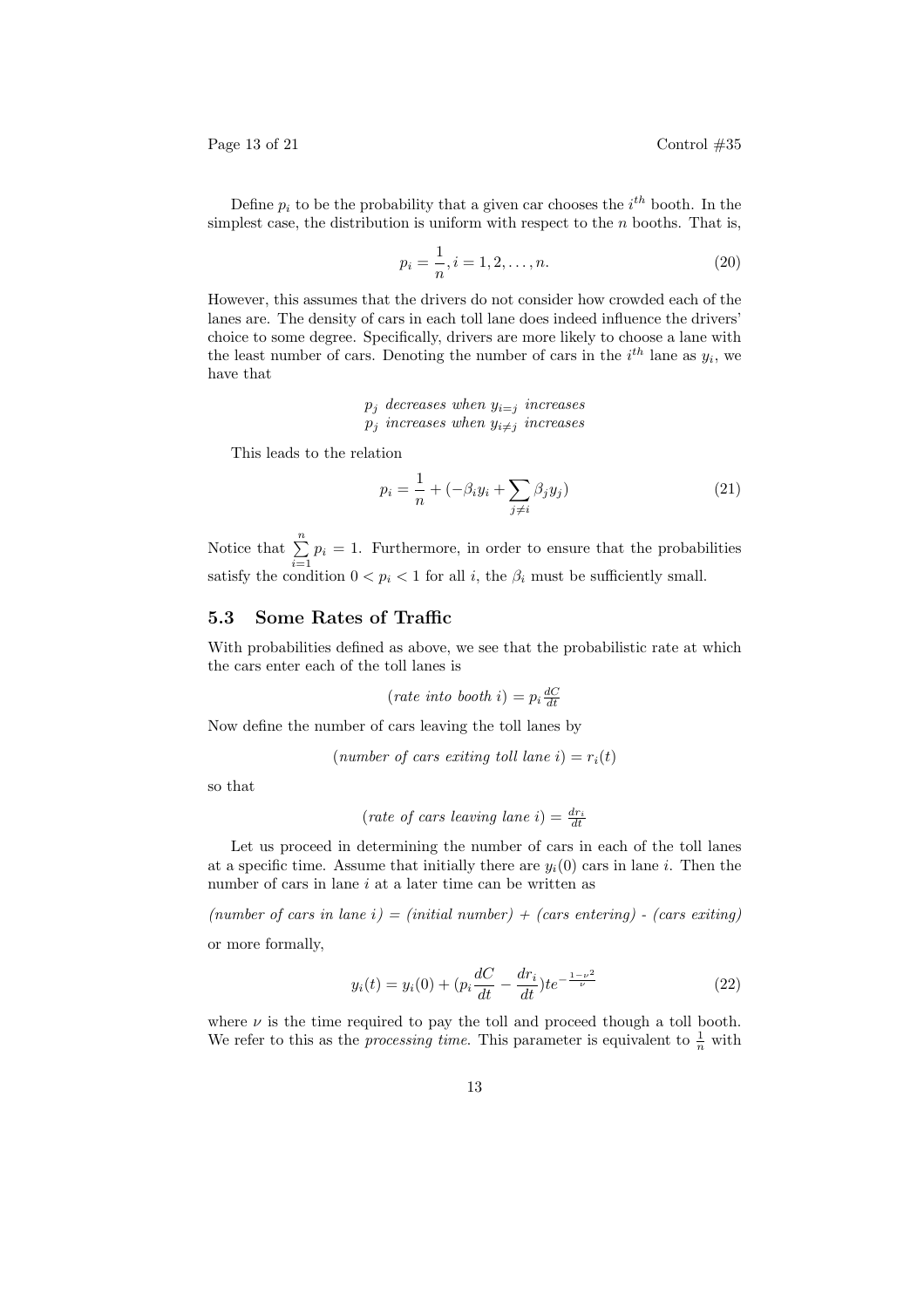Page 13 of 21 Control  $\#35$ 

Define  $p_i$  to be the probability that a given car chooses the  $i^{th}$  booth. In the simplest case, the distribution is uniform with respect to the  $n$  booths. That is,

$$
p_i = \frac{1}{n}, i = 1, 2, \dots, n.
$$
 (20)

However, this assumes that the drivers do not consider how crowded each of the lanes are. The density of cars in each toll lane does indeed influence the drivers' choice to some degree. Specifically, drivers are more likely to choose a lane with the least number of cars. Denoting the number of cars in the  $i^{th}$  lane as  $y_i$ , we have that

> $p_i$  decreases when  $y_{i=i}$  increases  $p_i$  increases when  $y_{i\neq j}$  increases

This leads to the relation

$$
p_i = \frac{1}{n} + (-\beta_i y_i + \sum_{j \neq i} \beta_j y_j)
$$
\n(21)

Notice that  $\sum_{n=1}^{\infty}$  $\sum_{i=1} p_i = 1$ . Furthermore, in order to ensure that the probabilities satisfy the condition  $0 < p_i < 1$  for all i, the  $\beta_i$  must be sufficiently small.

#### 5.3 Some Rates of Traffic

With probabilities defined as above, we see that the probabilistic rate at which the cars enter each of the toll lanes is

$$
(rate\ into\ tooth\ i) = p_i \frac{dC}{dt}
$$

Now define the number of cars leaving the toll lanes by

$$
(number of cars exiting toll lane i) = r_i(t)
$$

so that

(*rate of cars leaving lane i*) = 
$$
\frac{dr_i}{dt}
$$

Let us proceed in determining the number of cars in each of the toll lanes at a specific time. Assume that initially there are  $y_i(0)$  cars in lane i. Then the number of cars in lane i at a later time can be written as

(number of cars in lane i) = (initial number) + (cars entering) - (cars exiting) or more formally,

$$
y_i(t) = y_i(0) + (p_i \frac{dC}{dt} - \frac{dr_i}{dt})te^{-\frac{1-\nu^2}{\nu}}
$$
\n(22)

where  $\nu$  is the time required to pay the toll and proceed though a toll booth. We refer to this as the *processing time*. This parameter is equivalent to  $\frac{1}{n}$  with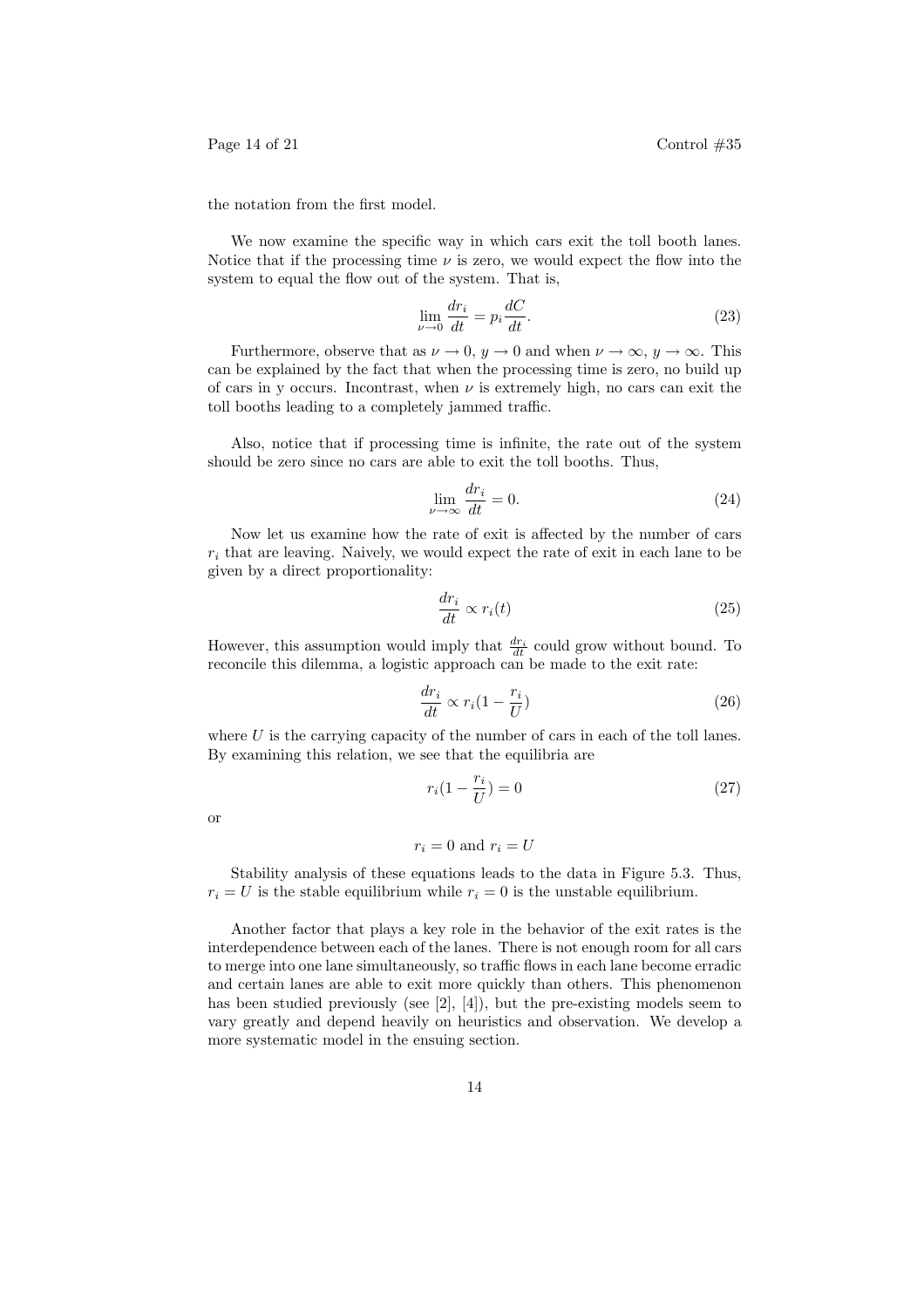the notation from the first model.

We now examine the specific way in which cars exit the toll booth lanes. Notice that if the processing time  $\nu$  is zero, we would expect the flow into the system to equal the flow out of the system. That is,

$$
\lim_{\nu \to 0} \frac{dr_i}{dt} = p_i \frac{dC}{dt}.
$$
\n(23)

Furthermore, observe that as  $\nu \to 0$ ,  $y \to 0$  and when  $\nu \to \infty$ ,  $y \to \infty$ . This can be explained by the fact that when the processing time is zero, no build up of cars in y occurs. Incontrast, when  $\nu$  is extremely high, no cars can exit the toll booths leading to a completely jammed traffic.

Also, notice that if processing time is infinite, the rate out of the system should be zero since no cars are able to exit the toll booths. Thus,

$$
\lim_{\nu \to \infty} \frac{dr_i}{dt} = 0. \tag{24}
$$

Now let us examine how the rate of exit is affected by the number of cars  $r_i$  that are leaving. Naively, we would expect the rate of exit in each lane to be given by a direct proportionality:

$$
\frac{dr_i}{dt} \propto r_i(t) \tag{25}
$$

However, this assumption would imply that  $\frac{dr_i}{dt}$  could grow without bound. To reconcile this dilemma, a logistic approach can be made to the exit rate:

$$
\frac{dr_i}{dt} \propto r_i (1 - \frac{r_i}{U})
$$
\n(26)

where  $U$  is the carrying capacity of the number of cars in each of the toll lanes. By examining this relation, we see that the equilibria are

$$
r_i(1 - \frac{r_i}{U}) = 0
$$
\n(27)

or

$$
r_i = 0 \text{ and } r_i = U
$$

Stability analysis of these equations leads to the data in Figure 5.3. Thus,  $r_i = U$  is the stable equilibrium while  $r_i = 0$  is the unstable equilibrium.

Another factor that plays a key role in the behavior of the exit rates is the interdependence between each of the lanes. There is not enough room for all cars to merge into one lane simultaneously, so traffic flows in each lane become erradic and certain lanes are able to exit more quickly than others. This phenomenon has been studied previously (see [2], [4]), but the pre-existing models seem to vary greatly and depend heavily on heuristics and observation. We develop a more systematic model in the ensuing section.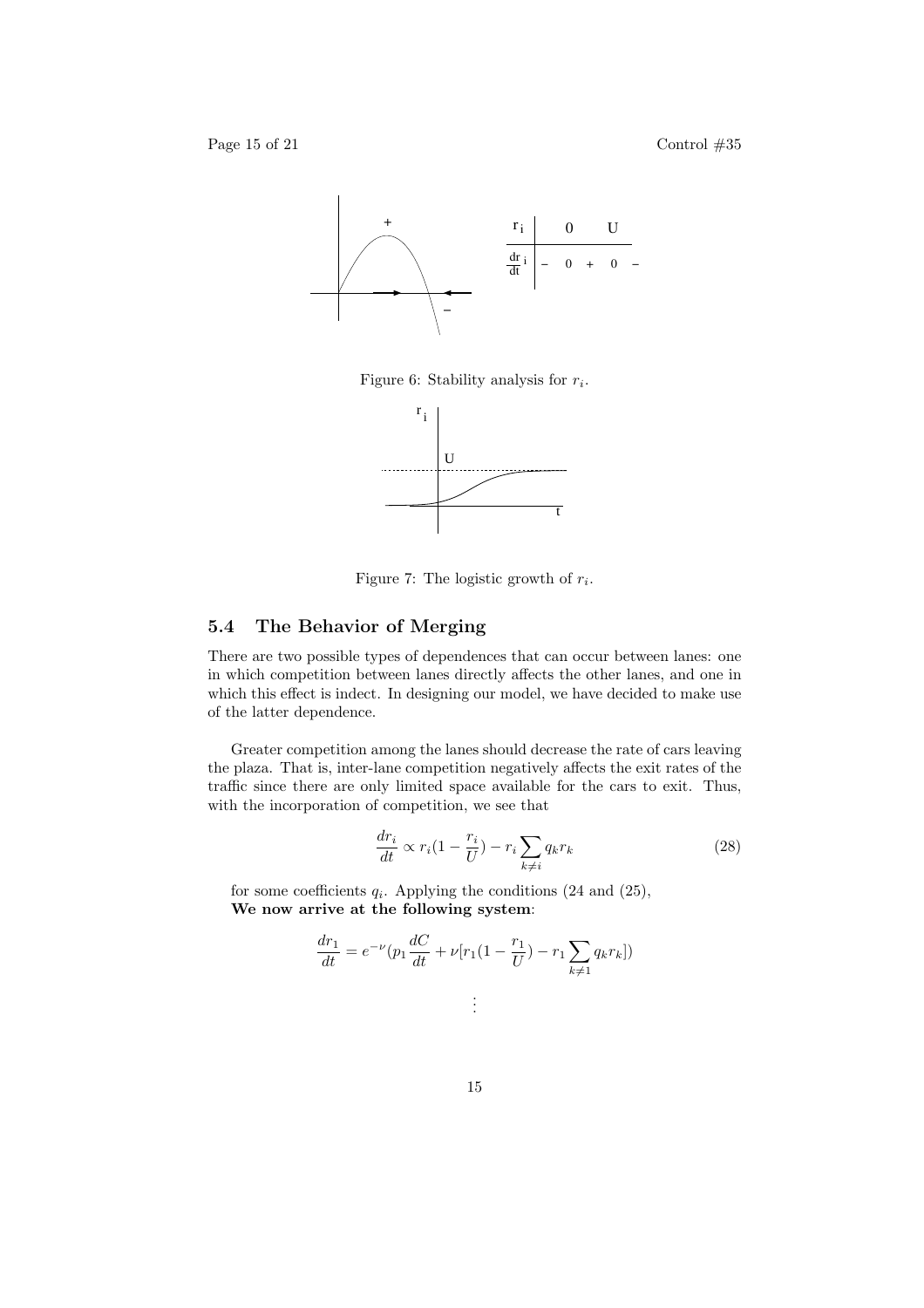

Figure 6: Stability analysis for  $r_i$ .



Figure 7: The logistic growth of  $r_i$ .

## 5.4 The Behavior of Merging

There are two possible types of dependences that can occur between lanes: one in which competition between lanes directly affects the other lanes, and one in which this effect is indect. In designing our model, we have decided to make use of the latter dependence.

Greater competition among the lanes should decrease the rate of cars leaving the plaza. That is, inter-lane competition negatively affects the exit rates of the traffic since there are only limited space available for the cars to exit. Thus, with the incorporation of competition, we see that

$$
\frac{dr_i}{dt} \propto r_i(1 - \frac{r_i}{U}) - r_i \sum_{k \neq i} q_k r_k
$$
\n(28)

for some coefficients  $q_i$ . Applying the conditions (24 and (25), We now arrive at the following system:

$$
\frac{dr_1}{dt} = e^{-\nu} (p_1 \frac{dC}{dt} + \nu [r_1(1 - \frac{r_1}{U}) - r_1 \sum_{k \neq 1} q_k r_k])
$$

$$
\frac{1}{2}
$$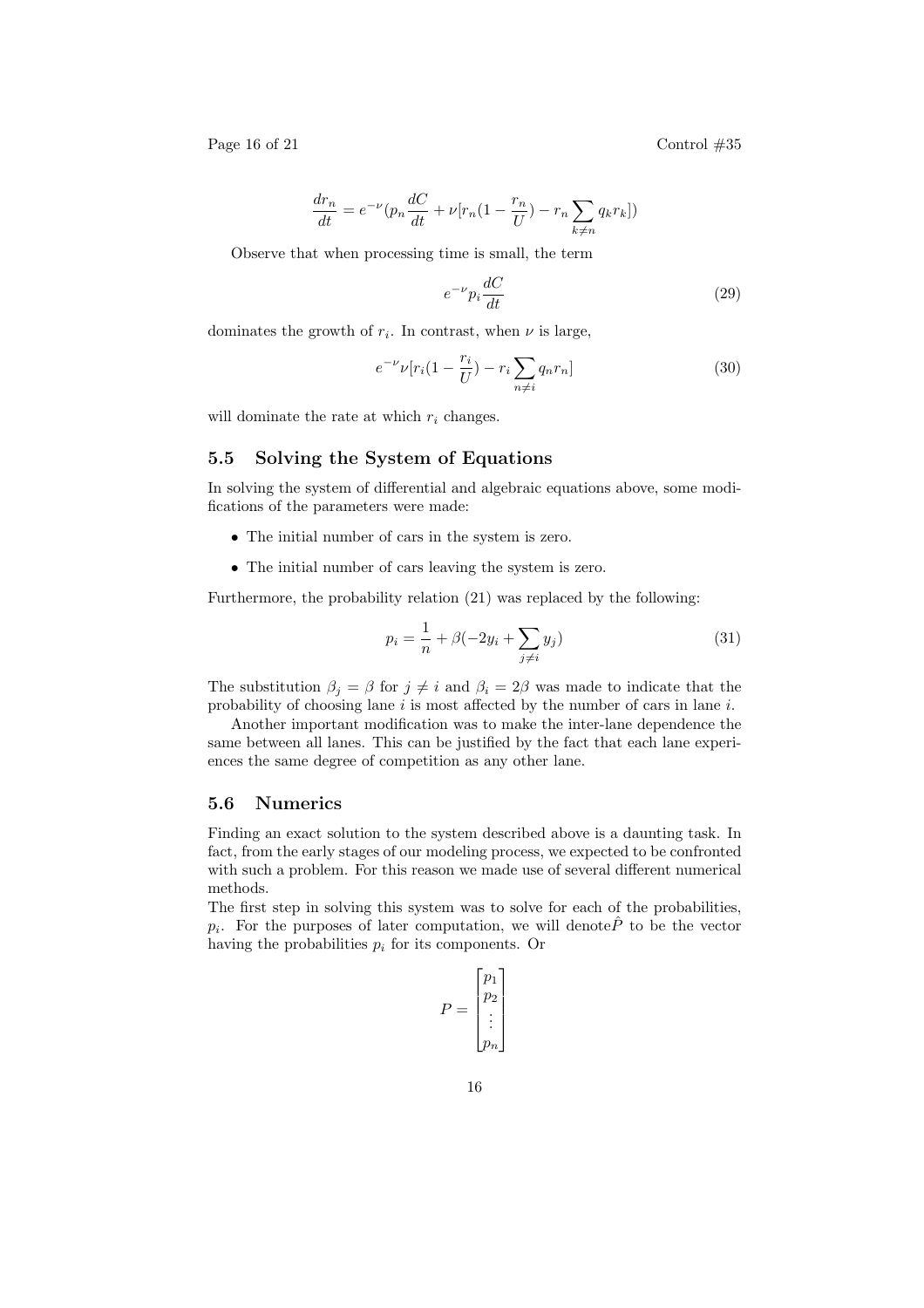Page 16 of 21 Control  $\#35$ 

$$
\frac{dr_n}{dt} = e^{-\nu} (p_n \frac{dC}{dt} + \nu [r_n(1 - \frac{r_n}{U}) - r_n \sum_{k \neq n} q_k r_k])
$$

Observe that when processing time is small, the term

$$
e^{-\nu} p_i \frac{dC}{dt} \tag{29}
$$

dominates the growth of  $r_i$ . In contrast, when  $\nu$  is large,

$$
e^{-\nu} \nu[r_i(1-\frac{r_i}{U}) - r_i \sum_{n \neq i} q_n r_n]
$$
\n(30)

will dominate the rate at which  $r_i$  changes.

## 5.5 Solving the System of Equations

In solving the system of differential and algebraic equations above, some modifications of the parameters were made:

- The initial number of cars in the system is zero.
- The initial number of cars leaving the system is zero.

Furthermore, the probability relation (21) was replaced by the following:

$$
p_i = \frac{1}{n} + \beta(-2y_i + \sum_{j \neq i} y_j)
$$
 (31)

The substitution  $\beta_j = \beta$  for  $j \neq i$  and  $\beta_i = 2\beta$  was made to indicate that the probability of choosing lane  $i$  is most affected by the number of cars in lane  $i$ .

Another important modification was to make the inter-lane dependence the same between all lanes. This can be justified by the fact that each lane experiences the same degree of competition as any other lane.

#### 5.6 Numerics

Finding an exact solution to the system described above is a daunting task. In fact, from the early stages of our modeling process, we expected to be confronted with such a problem. For this reason we made use of several different numerical methods.

The first step in solving this system was to solve for each of the probabilities,  $p_i$ . For the purposes of later computation, we will denote  $\hat{P}$  to be the vector having the probabilities  $p_i$  for its components. Or

$$
P = \begin{bmatrix} p_1 \\ p_2 \\ \vdots \\ p_n \end{bmatrix}
$$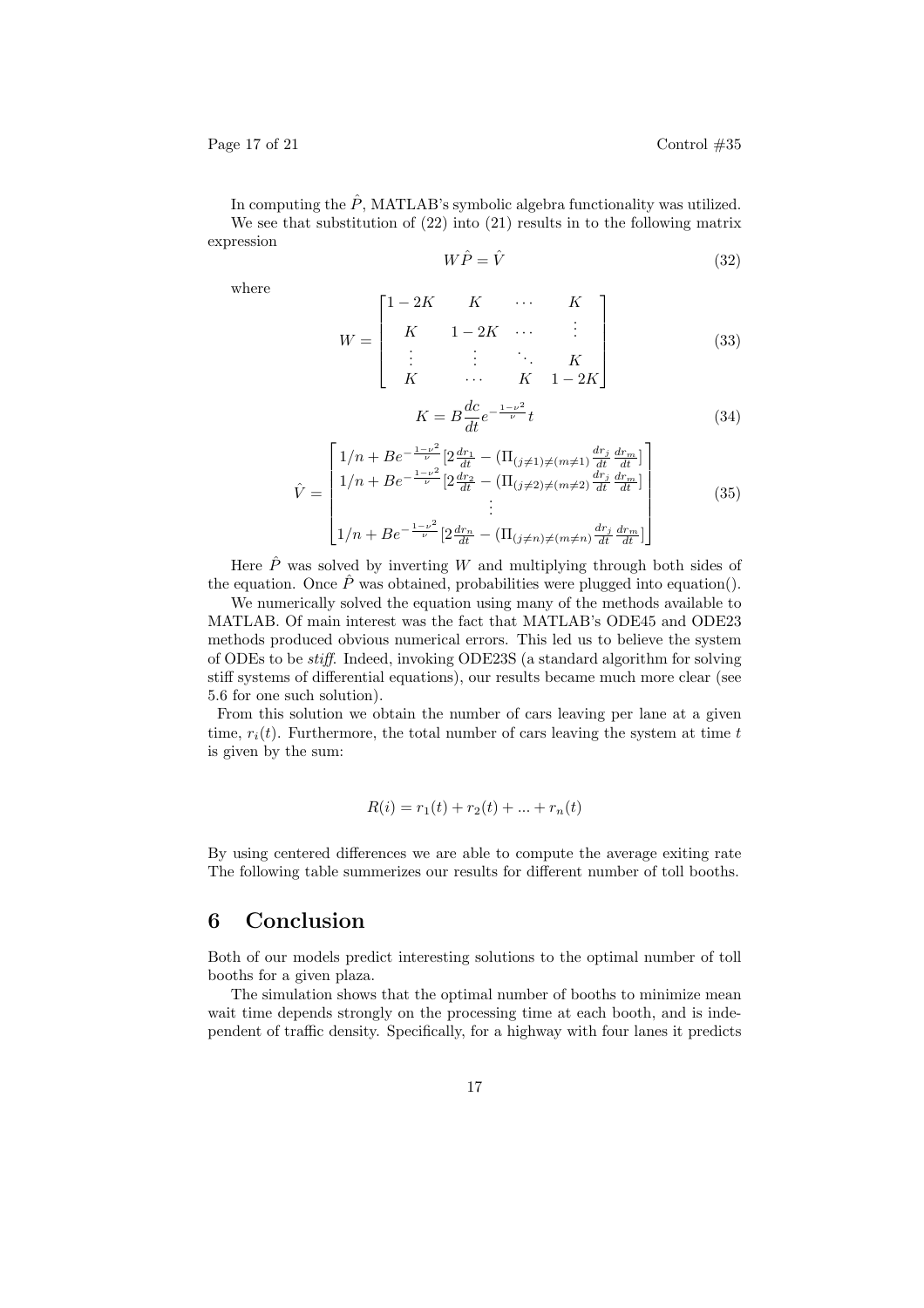Page 17 of 21 Control  $\#35$ 

In computing the  $\hat{P}$ , MATLAB's symbolic algebra functionality was utilized. We see that substitution of (22) into (21) results in to the following matrix expression

 $\overline{a}$ 

$$
W\hat{P} = \hat{V} \tag{32}
$$

 $\overline{a}$ 

where

$$
W = \begin{bmatrix} 1 - 2K & K & \cdots & K \\ K & 1 - 2K & \cdots & \vdots \\ \vdots & \vdots & \ddots & K \\ K & \cdots & K & 1 - 2K \end{bmatrix}
$$
 (33)

$$
K = B \frac{dc}{dt} e^{-\frac{1-\nu^2}{\nu}} t \tag{34}
$$

$$
\hat{V} = \begin{bmatrix}\n1/n + Be^{-\frac{1-\nu^2}{\nu}} \left[ 2\frac{dr_1}{dt} - (\Pi_{(j\neq 1)\neq(m\neq 1)} \frac{dr_j}{dt} \frac{dr_m}{dt} \right] \\
1/n + Be^{-\frac{1-\nu^2}{\nu}} \left[ 2\frac{dr_2}{dt} - (\Pi_{(j\neq 2)\neq(m\neq 2)} \frac{dr_j}{dt} \frac{dr_m}{dt} \right] \\
\vdots \\
1/n + Be^{-\frac{1-\nu^2}{\nu}} \left[ 2\frac{dr_n}{dt} - (\Pi_{(j\neq n)\neq(m\neq n)} \frac{dr_j}{dt} \frac{dr_m}{dt} \right]\n\end{bmatrix} \tag{35}
$$

Here  $\hat{P}$  was solved by inverting W and multiplying through both sides of the equation. Once  $\hat{P}$  was obtained, probabilities were plugged into equation().

We numerically solved the equation using many of the methods available to MATLAB. Of main interest was the fact that MATLAB's ODE45 and ODE23 methods produced obvious numerical errors. This led us to believe the system of ODEs to be stiff. Indeed, invoking ODE23S (a standard algorithm for solving stiff systems of differential equations), our results became much more clear (see 5.6 for one such solution).

From this solution we obtain the number of cars leaving per lane at a given time,  $r_i(t)$ . Furthermore, the total number of cars leaving the system at time t is given by the sum:

$$
R(i) = r_1(t) + r_2(t) + \dots + r_n(t)
$$

By using centered differences we are able to compute the average exiting rate The following table summerizes our results for different number of toll booths.

# 6 Conclusion

Both of our models predict interesting solutions to the optimal number of toll booths for a given plaza.

The simulation shows that the optimal number of booths to minimize mean wait time depends strongly on the processing time at each booth, and is independent of traffic density. Specifically, for a highway with four lanes it predicts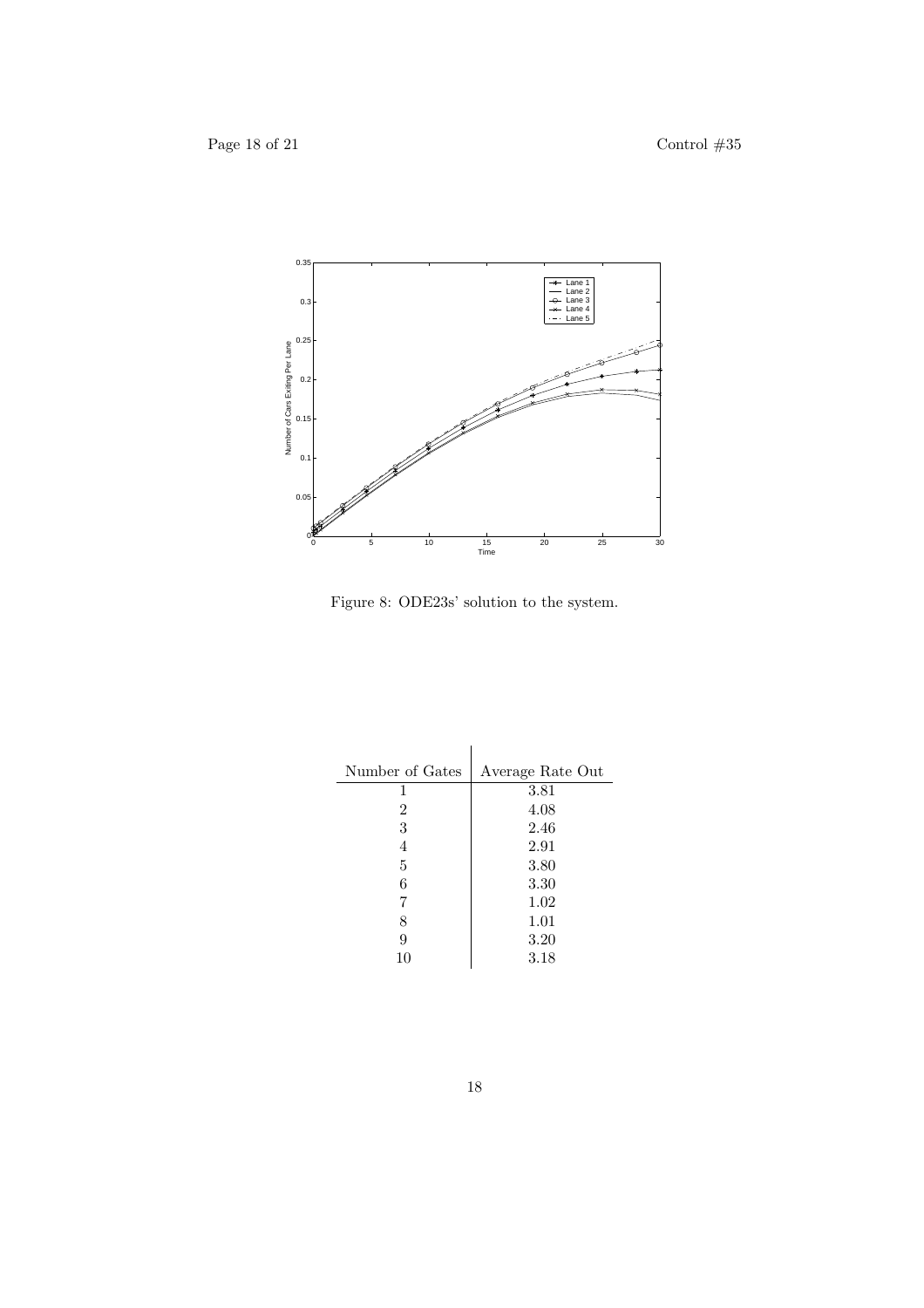

Figure 8: ODE23s' solution to the system.

| Number of Gates | Average Rate Out |
|-----------------|------------------|
| 1               | 3.81             |
| 2               | 4.08             |
| 3               | 2.46             |
| 4               | 2.91             |
| 5               | 3.80             |
| 6               | 3.30             |
| 7               | 1.02             |
| 8               | 1.01             |
| 9               | 3.20             |
| 10              | 3.18             |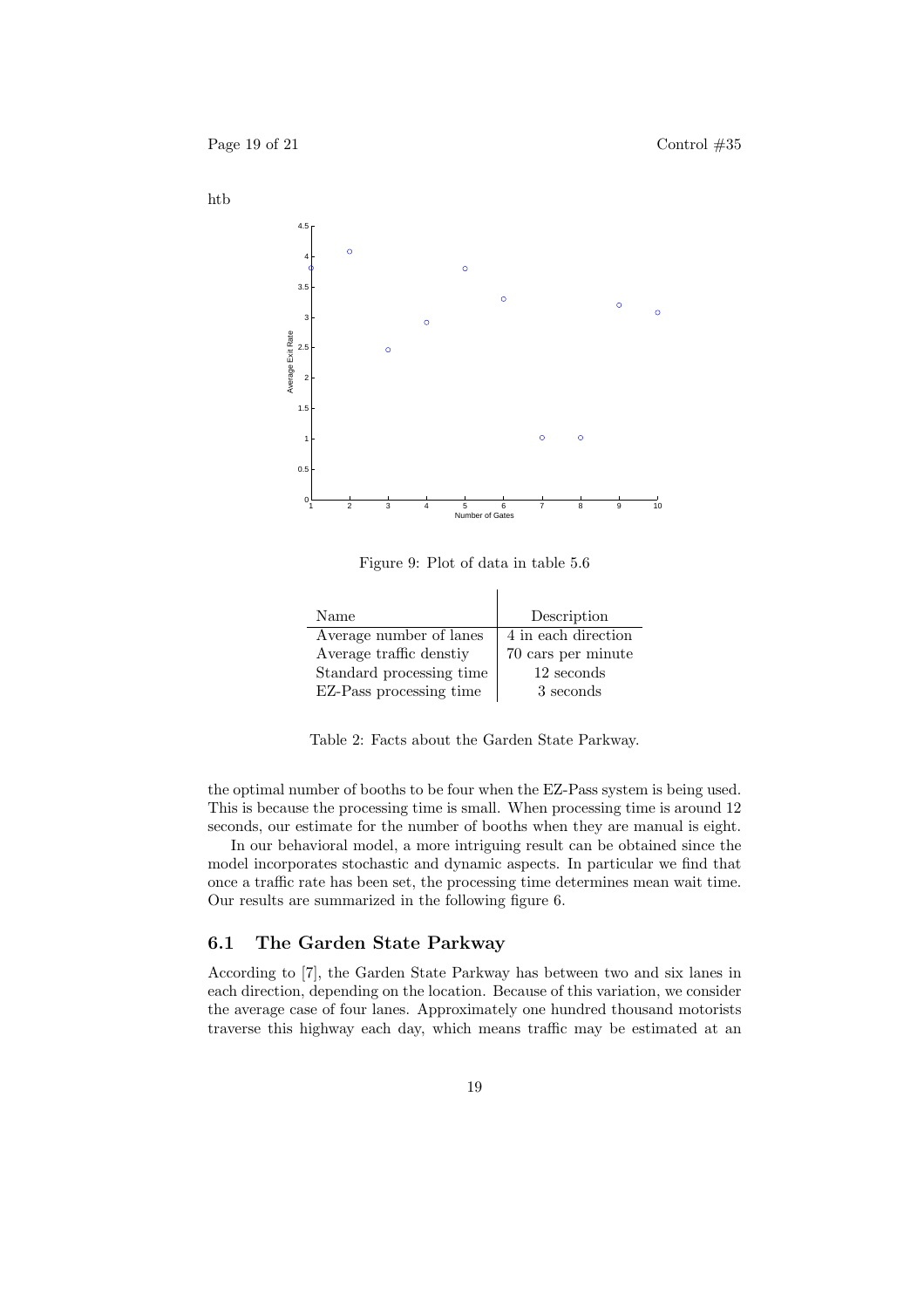htb



Figure 9: Plot of data in table 5.6

| Name                     | Description         |
|--------------------------|---------------------|
| Average number of lanes  | 4 in each direction |
| Average traffic denstiy  | 70 cars per minute  |
| Standard processing time | 12 seconds          |
| EZ-Pass processing time  | 3 seconds           |

Table 2: Facts about the Garden State Parkway.

the optimal number of booths to be four when the EZ-Pass system is being used. This is because the processing time is small. When processing time is around 12 seconds, our estimate for the number of booths when they are manual is eight.

In our behavioral model, a more intriguing result can be obtained since the model incorporates stochastic and dynamic aspects. In particular we find that once a traffic rate has been set, the processing time determines mean wait time. Our results are summarized in the following figure 6.

### 6.1 The Garden State Parkway

According to [7], the Garden State Parkway has between two and six lanes in each direction, depending on the location. Because of this variation, we consider the average case of four lanes. Approximately one hundred thousand motorists traverse this highway each day, which means traffic may be estimated at an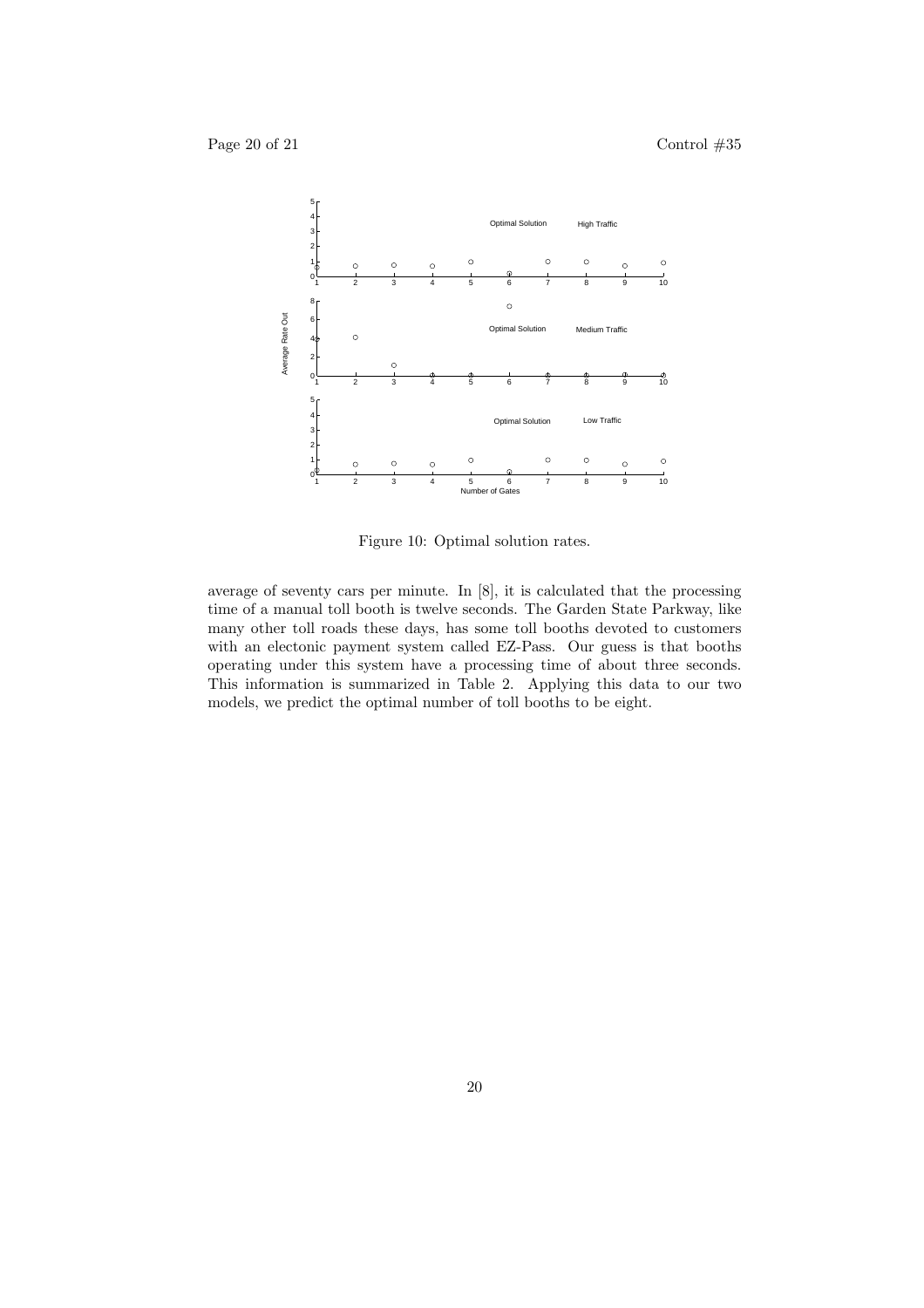

Figure 10: Optimal solution rates.

average of seventy cars per minute. In [8], it is calculated that the processing time of a manual toll booth is twelve seconds. The Garden State Parkway, like many other toll roads these days, has some toll booths devoted to customers with an electonic payment system called EZ-Pass. Our guess is that booths operating under this system have a processing time of about three seconds. This information is summarized in Table 2. Applying this data to our two models, we predict the optimal number of toll booths to be eight.